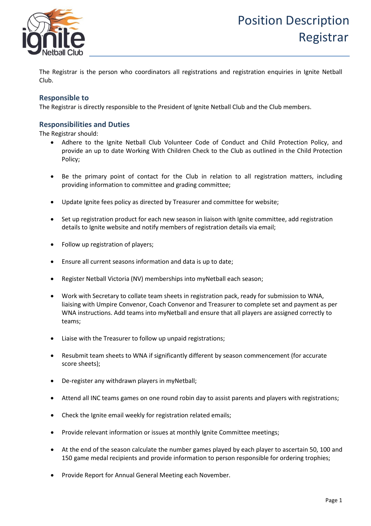

The Registrar is the person who coordinators all registrations and registration enquiries in Ignite Netball Club.

## **Responsible to**

The Registrar is directly responsible to the President of Ignite Netball Club and the Club members.

## **Responsibilities and Duties**

The Registrar should:

- Adhere to the Ignite Netball Club Volunteer Code of Conduct and Child Protection Policy, and provide an up to date Working With Children Check to the Club as outlined in the Child Protection Policy;
- Be the primary point of contact for the Club in relation to all registration matters, including providing information to committee and grading committee;
- Update Ignite fees policy as directed by Treasurer and committee for website;
- Set up registration product for each new season in liaison with Ignite committee, add registration details to Ignite website and notify members of registration details via email;
- Follow up registration of players;
- Ensure all current seasons information and data is up to date;
- Register Netball Victoria (NV) memberships into myNetball each season;
- Work with Secretary to collate team sheets in registration pack, ready for submission to WNA, liaising with Umpire Convenor, Coach Convenor and Treasurer to complete set and payment as per WNA instructions. Add teams into myNetball and ensure that all players are assigned correctly to teams;
- Liaise with the Treasurer to follow up unpaid registrations;
- Resubmit team sheets to WNA if significantly different by season commencement (for accurate score sheets);
- De-register any withdrawn players in myNetball;
- Attend all INC teams games on one round robin day to assist parents and players with registrations;
- Check the Ignite email weekly for registration related emails;
- Provide relevant information or issues at monthly Ignite Committee meetings;
- At the end of the season calculate the number games played by each player to ascertain 50, 100 and 150 game medal recipients and provide information to person responsible for ordering trophies;
- Provide Report for Annual General Meeting each November.